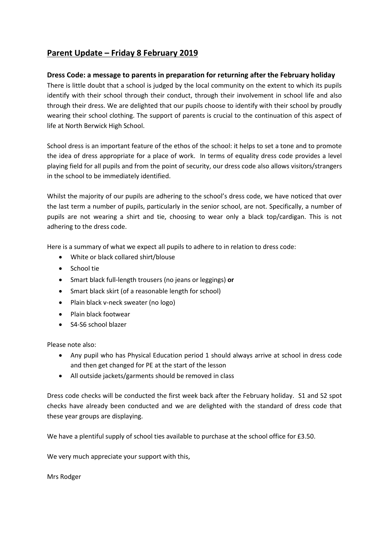# **Parent Update – Friday 8 February 2019**

# **Dress Code: a message to parents in preparation for returning after the February holiday**

There is little doubt that a school is judged by the local community on the extent to which its pupils identify with their school through their conduct, through their involvement in school life and also through their dress. We are delighted that our pupils choose to identify with their school by proudly wearing their school clothing. The support of parents is crucial to the continuation of this aspect of life at North Berwick High School.

School dress is an important feature of the ethos of the school: it helps to set a tone and to promote the idea of dress appropriate for a place of work. In terms of equality dress code provides a level playing field for all pupils and from the point of security, our dress code also allows visitors/strangers in the school to be immediately identified.

Whilst the majority of our pupils are adhering to the school's dress code, we have noticed that over the last term a number of pupils, particularly in the senior school, are not. Specifically, a number of pupils are not wearing a shirt and tie, choosing to wear only a black top/cardigan. This is not adhering to the dress code.

Here is a summary of what we expect all pupils to adhere to in relation to dress code:

- White or black collared shirt/blouse
- School tie
- Smart black full-length trousers (no jeans or leggings) **or**
- Smart black skirt (of a reasonable length for school)
- Plain black v-neck sweater (no logo)
- Plain black footwear
- S4-S6 school blazer

Please note also:

- Any pupil who has Physical Education period 1 should always arrive at school in dress code and then get changed for PE at the start of the lesson
- All outside jackets/garments should be removed in class

Dress code checks will be conducted the first week back after the February holiday. S1 and S2 spot checks have already been conducted and we are delighted with the standard of dress code that these year groups are displaying.

We have a plentiful supply of school ties available to purchase at the school office for £3.50.

We very much appreciate your support with this,

Mrs Rodger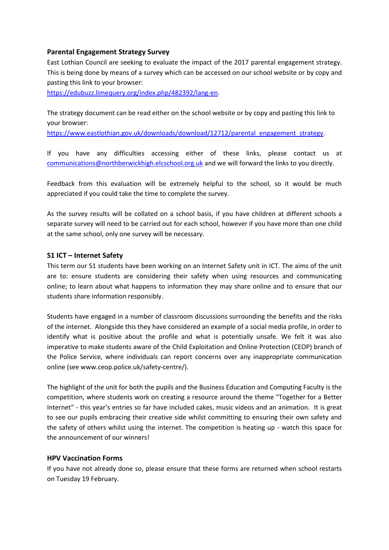# **Parental Engagement Strategy Survey**

East Lothian Council are seeking to evaluate the impact of the 2017 parental engagement strategy. This is being done by means of a survey which can be accessed on our school website or by copy and pasting this link to your browser:

[https://edubuzz.limequery.org/index.php/482392/lang-en.](https://edubuzz.limequery.org/index.php/482392/lang-en)

The strategy document can be read either on the school website or by copy and pasting this link to your browser:

[https://www.eastlothian.gov.uk/downloads/download/12712/parental\\_engagement\\_strategy.](https://www.eastlothian.gov.uk/downloads/download/12712/parental_engagement_strategy)

If you have any difficulties accessing either of these links, please contact us at [communications@northberwickhigh.elcschool.org.uk](mailto:communications@northberwickhigh.elcschool.org.uk) and we will forward the links to you directly.

Feedback from this evaluation will be extremely helpful to the school, so it would be much appreciated if you could take the time to complete the survey.

As the survey results will be collated on a school basis, if you have children at different schools a separate survey will need to be carried out for each school, however if you have more than one child at the same school, only one survey will be necessary.

# **S1 ICT – Internet Safety**

This term our S1 students have been working on an Internet Safety unit in ICT. The aims of the unit are to: ensure students are considering their safety when using resources and communicating online; to learn about what happens to information they may share online and to ensure that our students share information responsibly.

Students have engaged in a number of classroom discussions surrounding the benefits and the risks of the internet. Alongside this they have considered an example of a social media profile, in order to identify what is positive about the profile and what is potentially unsafe. We felt it was also imperative to make students aware of the Child Exploitation and Online Protection (CEOP) branch of the Police Service, where individuals can report concerns over any inappropriate communication online (see www.ceop.police.uk/safety-centre/).

The highlight of the unit for both the pupils and the Business Education and Computing Faculty is the competition, where students work on creating a resource around the theme "Together for a Better Internet" - this year's entries so far have included cakes, music videos and an animation. It is great to see our pupils embracing their creative side whilst committing to ensuring their own safety and the safety of others whilst using the internet. The competition is heating up - watch this space for the announcement of our winners!

#### **HPV Vaccination Forms**

If you have not already done so, please ensure that these forms are returned when school restarts on Tuesday 19 February.